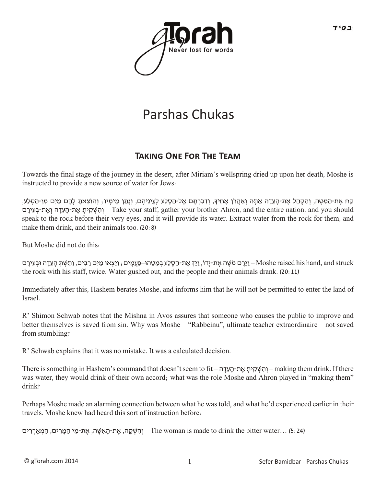

# Parshas Chukas

## **TAKING ONE FOR THE TEAM**

Towards the final stage of the journey in the desert, after Miriam's wellspring dried up upon her death, Moshe is instructed to provide a new source of water for Jews:

ַקַּח אֶת-הַמַּטֶּה, וְהַקְהֶל אֶת-הָעֶדָה אֲתָה וְאַהֲרֹן אֶחִידְ, וְדַבְרְתֵּם אֶל-הַסֶלַע לְעֵינֵיהֶם, וְנָתַן מֵימָיו; וְהוֹצֵאתָ לָהֶם מַיִם מִן-הַסֶלֵע, השְ ית -Take your staff, gather your brother Ahron, and the entire nation, and you should – והשְ הָעִ את-הַעִדה ואת-בַעִירָם speak to the rock before their very eyes, and it will provide its water. Extract water from the rock for them, and make them drink, and their animals too. (20:8)

But Moshe did not do this:

יַיָּרֶם מֹשֶׁה אֶת-יָדוֹ, וַיַּךְ אֶת-הַסֶלַע בְּמַטֵהוּ–פַּעֲמָיִם; וַיֵּצְאוּ מַיִם רַבִּים, וַתֵּשְׁתְּ הָעֵדָה וּבְעִירָם-Moshe raised his hand, and struck the rock with his staff, twice. Water gushed out, and the people and their animals drank. (20:11)

Immediately after this, Hashem berates Moshe, and informs him that he will not be permitted to enter the land of Israel.

R' Shimon Schwab notes that the Mishna in Avos assures that someone who causes the public to improve and better themselves is saved from sin. Why was Moshe – "Rabbeinu", ultimate teacher extraordinaire – not saved from stumbling?

R' Schwab explains that it was no mistake. It was a calculated decision.

There is something in Hashem's command that doesn't seem to fit – הְשָׁקִית את-הַעְדָּה – making them drink. If there was water, they would drink of their own accord; what was the role Moshe and Ahron played in "making them" drink?

Perhaps Moshe made an alarming connection between what he was told, and what he'd experienced earlier in their travels. Moshe knew had heard this sort of instruction before:

(5:24) ...The woman is made to drink the bitter water – וְהִשְׁקָה, אֶת-הָאָשֶה, אֶת-מֵי הַמַּרִים, הַמְאַרְרִים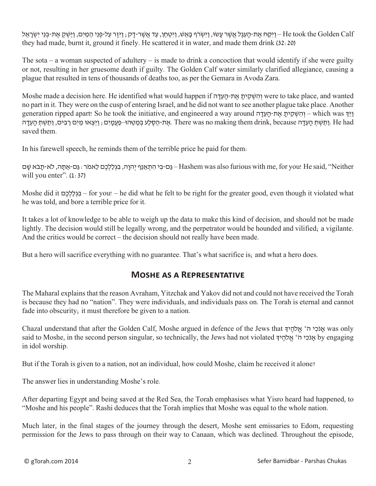יַיִּקַח אֶת-הָעֵל אֲשֶׁר עָשׂוּ, וַיִּשְׂרֹ (אֲ אֲשֶׁר-דָק; וַיִּזֶר עַל-פְּנֵי הַמַּיִם, וַיַּשְׁקְ אֶת-בְנֵי יִשְׂרָאֵל He took the Golden Calf they had made, burnt it, ground it finely. He scattered it in water, and made them drink (32:20)

The sota – a woman suspected of adultery – is made to drink a concoction that would identify if she were guilty or not, resulting in her gruesome death if guilty. The Golden Calf water similarly clarified allegiance, causing a plague that resulted in tens of thousands of deaths too, as per the Gemara in Avoda Zara.

Moshe made a decision here. He identified what would happen if וְהִשְׁקִיתַ אֲת-הַעֲדָה (were to take place, and wanted no part in it. They were on the cusp of entering Israel, and he did not want to see another plague take place. Another generation ripped apart! So he took the initiative, and engineered a way around הושקית את-העדה את-הסלע במטהו–פעמים; ויצאו מים רבים, ותשת העדה .There was no making them drink, because . saved them.

In his farewell speech, he reminds them of the terrible price he paid for them:

הַם-בִּי הִתְאַנַּף יְהוָה, בִגְלַלְכֶם לֵאמֹר: גַּם-אַתָּה, לֹא-תָבֹא שָׁם-Hashem was also furious with me, for you! He said, "Neither will you enter". (1:37)

Moshe did it םֶכ ְלַל ְגּ ִב – for you! – he did what he felt to be right for the greater good, even though it violated what he was told, and bore a terrible price for it.

It takes a lot of knowledge to be able to weigh up the data to make this kind of decision, and should not be made lightly. The decision would still be legally wrong, and the perpetrator would be hounded and vilified; a vigilante. And the critics would be correct – the decision should not really have been made.

But a hero will sacrifice everything with no guarantee. That's what sacrifice is; and what a hero does.

#### **Moshe as a Representative**

The Maharal explains that the reason Avraham, Yitzchak and Yakov did not and could not have received the Torah is because they had no "nation". They were individuals, and individuals pass on. The Torah is eternal and cannot fade into obscurity; it must therefore be given to a nation.

Chazal understand that after the Golden Calf, Moshe argued in defence of the Jews that אוֹכ*ּי* ה' אלהיך א $\mu$  was only said to Moshe, in the second person singular, so technically, the Jews had not violated ךָי ֶלהֹ ֱא' ֹה י ִכֹאנָ by engaging in idol worship.

But if the Torah is given to a nation, not an individual, how could Moshe, claim he received it alone?

The answer lies in understanding Moshe's role.

After departing Egypt and being saved at the Red Sea, the Torah emphasises what Yisro heard had happened, to "Moshe and his people". Rashi deduces that the Torah implies that Moshe was equal to the whole nation.

Much later, in the final stages of the journey through the desert, Moshe sent emissaries to Edom, requesting permission for the Jews to pass through on their way to Canaan, which was declined. Throughout the episode,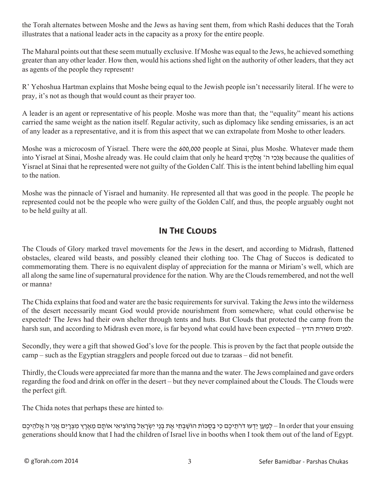the Torah alternates between Moshe and the Jews as having sent them, from which Rashi deduces that the Torah illustrates that a national leader acts in the capacity as a proxy for the entire people.

The Maharal points out that these seem mutually exclusive. If Moshe was equal to the Jews, he achieved something greater than any other leader. How then, would his actions shed light on the authority of other leaders, that they act as agents of the people they represent?

R' Yehoshua Hartman explains that Moshe being equal to the Jewish people isn't necessarily literal. If he were to pray, it's not as though that would count as their prayer too.

A leader is an agent or representative of his people. Moshe was more than that; the "equality" meant his actions carried the same weight as the nation itself. Regular activity, such as diplomacy like sending emissaries, is an act of any leader as a representative, and it is from this aspect that we can extrapolate from Moshe to other leaders.

Moshe was a microcosm of Yisrael. There were the 600,000 people at Sinai, plus Moshe. Whatever made them into Yisrael at Sinai, Moshe already was. He could claim that only he heard ךָי ֶלהֹ ֱא' ֹה י ִכֹאנָ because the qualities of Yisrael at Sinai that he represented were not guilty of the Golden Calf. This is the intent behind labelling him equal to the nation.

Moshe was the pinnacle of Yisrael and humanity. He represented all that was good in the people. The people he represented could not be the people who were guilty of the Golden Calf, and thus, the people arguably ought not to be held guilty at all.

## **IN THE CLOUDS**

The Clouds of Glory marked travel movements for the Jews in the desert, and according to Midrash, flattened obstacles, cleared wild beasts, and possibly cleaned their clothing too. The Chag of Succos is dedicated to commemorating them. There is no equivalent display of appreciation for the manna or Miriam's well, which are all along the same line of supernatural providence for the nation. Why are the Clouds remembered, and not the well or manna?

The Chida explains that food and water are the basic requirements for survival. Taking the Jews into the wilderness of the desert necessarily meant God would provide nourishment from somewhere; what could otherwise be expected? The Jews had their own shelter through tents and huts. But Clouds that protected the camp from the harsh sun, and according to Midrash even more, is far beyond what could have been expected – הדין משורת לפנים.

Secondly, they were a gift that showed God's love for the people. This is proven by the fact that people outside the camp – such as the Egyptian stragglers and people forced out due to tzaraas – did not benefit.

Thirdly, the Clouds were appreciated far more than the manna and the water. The Jews complained and gave orders regarding the food and drink on offer in the desert – but they never complained about the Clouds. The Clouds were the perfect gift.

The Chida notes that perhaps these are hinted to:

In order that your ensuing – למַען ידעו דֹרֹתִיכֶם כִּי בַסְכּוֹת הוֹשַׁבְּתִי אֶת בְּנֵי יִשְׂרָאֵל בְּהוֹצִיאָי אַוֹתָם מַאַרֶץ מַצְרִים אַנִי הַ אֲלְהִיכָם generations should know that I had the children of Israel live in booths when I took them out of the land of Egypt.